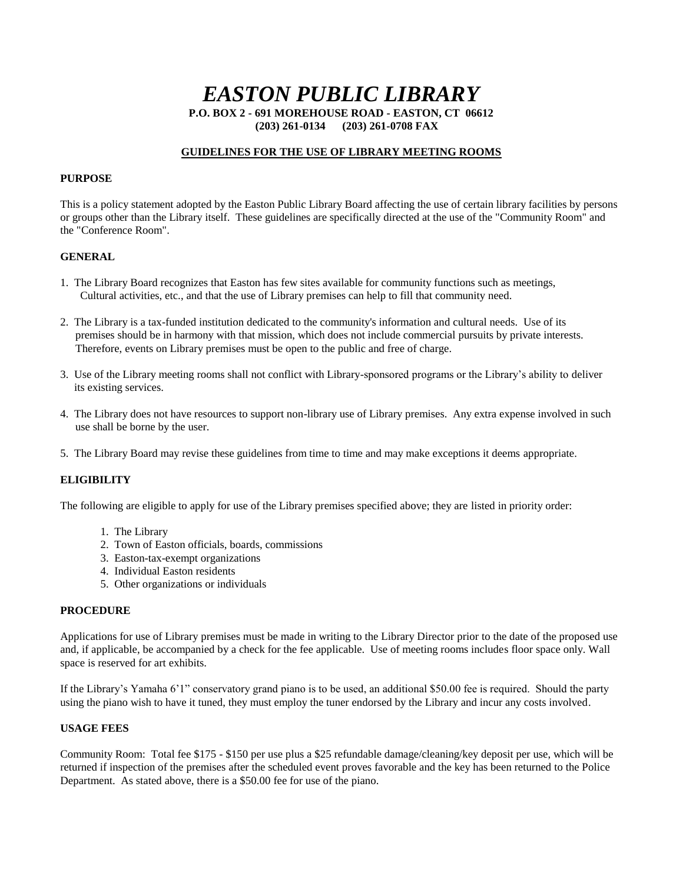# *EASTON PUBLIC LIBRARY*

**P.O. BOX 2 - 691 MOREHOUSE ROAD - EASTON, CT 06612 (203) 261-0134 (203) 261-0708 FAX** 

### **GUIDELINES FOR THE USE OF LIBRARY MEETING ROOMS**

## **PURPOSE**

This is a policy statement adopted by the Easton Public Library Board affecting the use of certain library facilities by persons or groups other than the Library itself. These guidelines are specifically directed at the use of the "Community Room" and the "Conference Room".

#### **GENERAL**

- 1. The Library Board recognizes that Easton has few sites available for community functions such as meetings, Cultural activities, etc., and that the use of Library premises can help to fill that community need.
- 2. The Library is a tax-funded institution dedicated to the community's information and cultural needs. Use of its premises should be in harmony with that mission, which does not include commercial pursuits by private interests. Therefore, events on Library premises must be open to the public and free of charge.
- 3. Use of the Library meeting rooms shall not conflict with Library-sponsored programs or the Library's ability to deliver its existing services.
- 4. The Library does not have resources to support non-library use of Library premises. Any extra expense involved in such use shall be borne by the user.
- 5. The Library Board may revise these guidelines from time to time and may make exceptions it deems appropriate.

#### **ELIGIBILITY**

The following are eligible to apply for use of the Library premises specified above; they are listed in priority order:

- 1. The Library
- 2. Town of Easton officials, boards, commissions
- 3. Easton-tax-exempt organizations
- 4. Individual Easton residents
- 5. Other organizations or individuals

#### **PROCEDURE**

Applications for use of Library premises must be made in writing to the Library Director prior to the date of the proposed use and, if applicable, be accompanied by a check for the fee applicable. Use of meeting rooms includes floor space only. Wall space is reserved for art exhibits.

If the Library's Yamaha 6'1" conservatory grand piano is to be used, an additional \$50.00 fee is required. Should the party using the piano wish to have it tuned, they must employ the tuner endorsed by the Library and incur any costs involved.

#### **USAGE FEES**

Community Room: Total fee \$175 - \$150 per use plus a \$25 refundable damage/cleaning/key deposit per use, which will be returned if inspection of the premises after the scheduled event proves favorable and the key has been returned to the Police Department. As stated above, there is a \$50.00 fee for use of the piano.